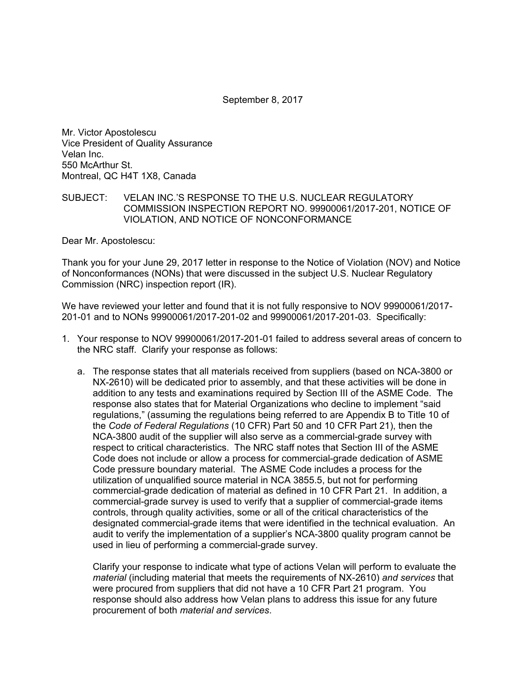September 8, 2017

Mr. Victor Apostolescu Vice President of Quality Assurance Velan Inc. 550 McArthur St. Montreal, QC H4T 1X8, Canada

## SUBJECT: VELAN INC.'S RESPONSE TO THE U.S. NUCLEAR REGULATORY COMMISSION INSPECTION REPORT NO. 99900061/2017-201, NOTICE OF VIOLATION, AND NOTICE OF NONCONFORMANCE

Dear Mr. Apostolescu:

Thank you for your June 29, 2017 letter in response to the Notice of Violation (NOV) and Notice of Nonconformances (NONs) that were discussed in the subject U.S. Nuclear Regulatory Commission (NRC) inspection report (IR).

We have reviewed your letter and found that it is not fully responsive to NOV 99900061/2017- 201-01 and to NONs 99900061/2017-201-02 and 99900061/2017-201-03. Specifically:

- 1. Your response to NOV 99900061/2017-201-01 failed to address several areas of concern to the NRC staff. Clarify your response as follows:
	- a. The response states that all materials received from suppliers (based on NCA-3800 or NX-2610) will be dedicated prior to assembly, and that these activities will be done in addition to any tests and examinations required by Section III of the ASME Code. The response also states that for Material Organizations who decline to implement "said regulations," (assuming the regulations being referred to are Appendix B to Title 10 of the *Code of Federal Regulations* (10 CFR) Part 50 and 10 CFR Part 21), then the NCA-3800 audit of the supplier will also serve as a commercial-grade survey with respect to critical characteristics. The NRC staff notes that Section III of the ASME Code does not include or allow a process for commercial-grade dedication of ASME Code pressure boundary material. The ASME Code includes a process for the utilization of unqualified source material in NCA 3855.5, but not for performing commercial-grade dedication of material as defined in 10 CFR Part 21. In addition, a commercial-grade survey is used to verify that a supplier of commercial-grade items controls, through quality activities, some or all of the critical characteristics of the designated commercial-grade items that were identified in the technical evaluation. An audit to verify the implementation of a supplier's NCA-3800 quality program cannot be used in lieu of performing a commercial-grade survey.

Clarify your response to indicate what type of actions Velan will perform to evaluate the *material* (including material that meets the requirements of NX-2610) *and services* that were procured from suppliers that did not have a 10 CFR Part 21 program. You response should also address how Velan plans to address this issue for any future procurement of both *material and services*.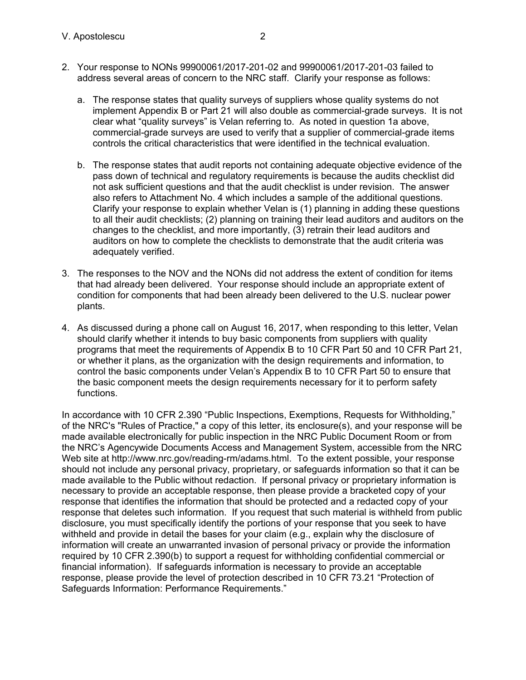- 2. Your response to NONs 99900061/2017-201-02 and 99900061/2017-201-03 failed to address several areas of concern to the NRC staff. Clarify your response as follows:
	- a. The response states that quality surveys of suppliers whose quality systems do not implement Appendix B or Part 21 will also double as commercial-grade surveys. It is not clear what "quality surveys" is Velan referring to. As noted in question 1a above, commercial-grade surveys are used to verify that a supplier of commercial-grade items controls the critical characteristics that were identified in the technical evaluation.
	- b. The response states that audit reports not containing adequate objective evidence of the pass down of technical and regulatory requirements is because the audits checklist did not ask sufficient questions and that the audit checklist is under revision. The answer also refers to Attachment No. 4 which includes a sample of the additional questions. Clarify your response to explain whether Velan is (1) planning in adding these questions to all their audit checklists; (2) planning on training their lead auditors and auditors on the changes to the checklist, and more importantly, (3) retrain their lead auditors and auditors on how to complete the checklists to demonstrate that the audit criteria was adequately verified.
- 3. The responses to the NOV and the NONs did not address the extent of condition for items that had already been delivered. Your response should include an appropriate extent of condition for components that had been already been delivered to the U.S. nuclear power plants.
- 4. As discussed during a phone call on August 16, 2017, when responding to this letter, Velan should clarify whether it intends to buy basic components from suppliers with quality programs that meet the requirements of Appendix B to 10 CFR Part 50 and 10 CFR Part 21, or whether it plans, as the organization with the design requirements and information, to control the basic components under Velan's Appendix B to 10 CFR Part 50 to ensure that the basic component meets the design requirements necessary for it to perform safety functions.

In accordance with 10 CFR 2.390 "Public Inspections, Exemptions, Requests for Withholding," of the NRC's "Rules of Practice," a copy of this letter, its enclosure(s), and your response will be made available electronically for public inspection in the NRC Public Document Room or from the NRC's Agencywide Documents Access and Management System, accessible from the NRC Web site at http://www.nrc.gov/reading-rm/adams.html. To the extent possible, your response should not include any personal privacy, proprietary, or safeguards information so that it can be made available to the Public without redaction. If personal privacy or proprietary information is necessary to provide an acceptable response, then please provide a bracketed copy of your response that identifies the information that should be protected and a redacted copy of your response that deletes such information. If you request that such material is withheld from public disclosure, you must specifically identify the portions of your response that you seek to have withheld and provide in detail the bases for your claim (e.g., explain why the disclosure of information will create an unwarranted invasion of personal privacy or provide the information required by 10 CFR 2.390(b) to support a request for withholding confidential commercial or financial information). If safeguards information is necessary to provide an acceptable response, please provide the level of protection described in 10 CFR 73.21 "Protection of Safeguards Information: Performance Requirements."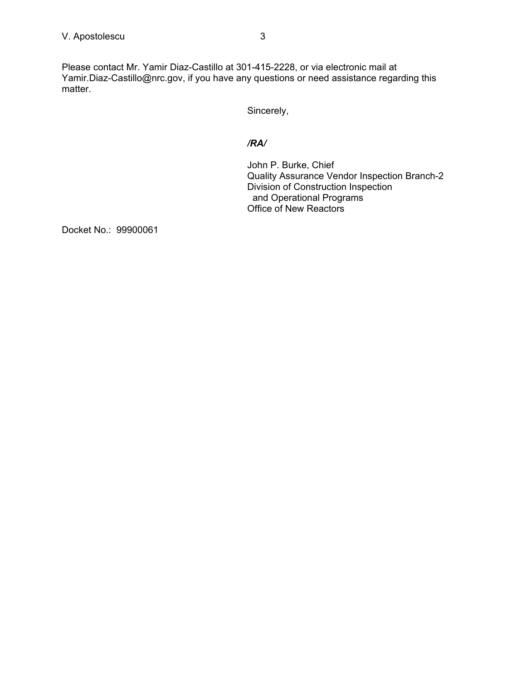Please contact Mr. Yamir Diaz-Castillo at 301-415-2228, or via electronic mail at Yamir.Diaz-Castillo@nrc.gov, if you have any questions or need assistance regarding this matter.

Sincerely,

## */RA/*

John P. Burke, Chief Quality Assurance Vendor Inspection Branch-2 Division of Construction Inspection and Operational Programs Office of New Reactors

Docket No.: 99900061